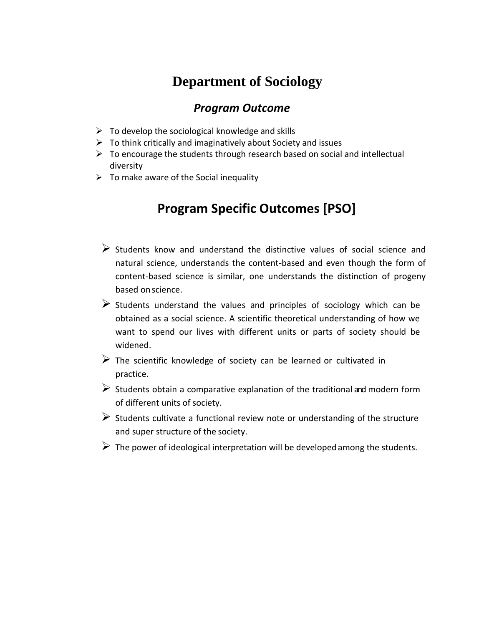## **Department of Sociology**

## *Program Outcome*

- $\triangleright$  To develop the sociological knowledge and skills
- $\triangleright$  To think critically and imaginatively about Society and issues
- $\triangleright$  To encourage the students through research based on social and intellectual diversity
- $\triangleright$  To make aware of the Social inequality

## **Program Specific Outcomes [PSO]**

- $\triangleright$  Students know and understand the distinctive values of social science and natural science, understands the content-based and even though the form of content-based science is similar, one understands the distinction of progeny based onscience.
- $\triangleright$  Students understand the values and principles of sociology which can be obtained as a social science. A scientific theoretical understanding of how we want to spend our lives with different units or parts of society should be widened.
- $\triangleright$  The scientific knowledge of society can be learned or cultivated in practice.
- $\triangleright$  Students obtain a comparative explanation of the traditional and modern form of different units of society.
- $\triangleright$  Students cultivate a functional review note or understanding of the structure and super structure of the society.
- $\triangleright$  The power of ideological interpretation will be developed among the students.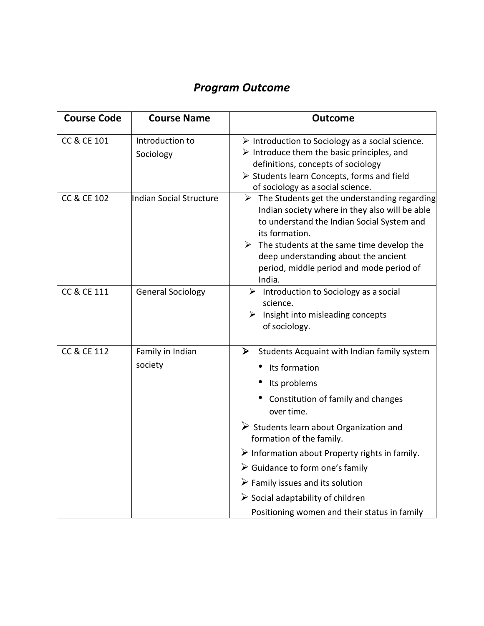## *Program Outcome*

| <b>Course Name</b>           | <b>Outcome</b>                                                                                                                                                                                                                                                                                                                              |
|------------------------------|---------------------------------------------------------------------------------------------------------------------------------------------------------------------------------------------------------------------------------------------------------------------------------------------------------------------------------------------|
| Introduction to<br>Sociology | $\triangleright$ Introduction to Sociology as a social science.<br>$\triangleright$ Introduce them the basic principles, and<br>definitions, concepts of sociology<br>> Students learn Concepts, forms and field<br>of sociology as a social science.                                                                                       |
| Indian Social Structure      | $\triangleright$ The Students get the understanding regarding<br>Indian society where in they also will be able<br>to understand the Indian Social System and<br>its formation.<br>$\triangleright$ The students at the same time develop the<br>deep understanding about the ancient<br>period, middle period and mode period of<br>India. |
| <b>General Sociology</b>     | $\triangleright$ Introduction to Sociology as a social<br>science.<br>$\triangleright$ Insight into misleading concepts<br>of sociology.                                                                                                                                                                                                    |
| Family in Indian<br>society  | ➤<br>Students Acquaint with Indian family system<br>Its formation                                                                                                                                                                                                                                                                           |
|                              | Its problems                                                                                                                                                                                                                                                                                                                                |
|                              | Constitution of family and changes<br>over time.                                                                                                                                                                                                                                                                                            |
|                              | $\triangleright$ Students learn about Organization and<br>formation of the family.                                                                                                                                                                                                                                                          |
|                              | $\triangleright$ Information about Property rights in family.                                                                                                                                                                                                                                                                               |
|                              | $\triangleright$ Guidance to form one's family                                                                                                                                                                                                                                                                                              |
|                              | $\triangleright$ Family issues and its solution                                                                                                                                                                                                                                                                                             |
|                              | $\triangleright$ Social adaptability of children<br>Positioning women and their status in family                                                                                                                                                                                                                                            |
|                              |                                                                                                                                                                                                                                                                                                                                             |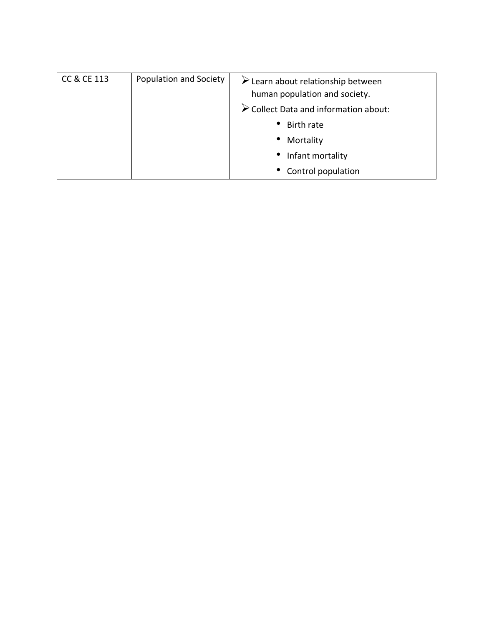| <b>CC &amp; CE 113</b> | <b>Population and Society</b> | $\triangleright$ Learn about relationship between<br>human population and society. |
|------------------------|-------------------------------|------------------------------------------------------------------------------------|
|                        |                               | $\triangleright$ Collect Data and information about:                               |
|                        |                               | • Birth rate                                                                       |
|                        |                               | Mortality<br>$\bullet$                                                             |
|                        |                               | Infant mortality<br>$\bullet$                                                      |
|                        |                               | • Control population                                                               |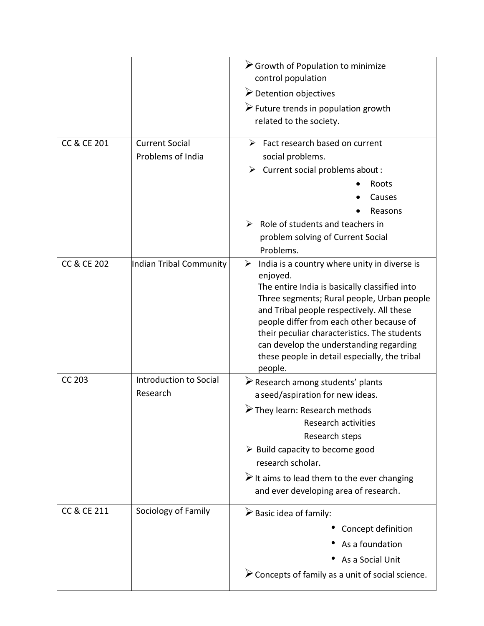|                        |                                            | Scrowth of Population to minimize<br>control population<br>Detention objectives<br>$\triangleright$ Future trends in population growth<br>related to the society.                                                                                                                                                                                                                                            |
|------------------------|--------------------------------------------|--------------------------------------------------------------------------------------------------------------------------------------------------------------------------------------------------------------------------------------------------------------------------------------------------------------------------------------------------------------------------------------------------------------|
| <b>CC &amp; CE 201</b> | <b>Current Social</b><br>Problems of India | $\triangleright$ Fact research based on current<br>social problems.<br>Current social problems about :<br>➤<br>Roots<br>Causes<br>Reasons<br>Role of students and teachers in<br>➤<br>problem solving of Current Social<br>Problems.                                                                                                                                                                         |
| <b>CC &amp; CE 202</b> | Indian Tribal Community                    | India is a country where unity in diverse is<br>➤<br>enjoyed.<br>The entire India is basically classified into<br>Three segments; Rural people, Urban people<br>and Tribal people respectively. All these<br>people differ from each other because of<br>their peculiar characteristics. The students<br>can develop the understanding regarding<br>these people in detail especially, the tribal<br>people. |
| <b>CC 203</b>          | Introduction to Social<br>Research         | $\triangleright$ Research among students' plants<br>a seed/aspiration for new ideas.<br>They learn: Research methods<br><b>Research activities</b><br>Research steps<br>$\triangleright$ Build capacity to become good<br>research scholar.<br>$\triangleright$ It aims to lead them to the ever changing<br>and ever developing area of research.                                                           |
| CC & CE 211            | Sociology of Family                        | $\triangleright$ Basic idea of family:<br>Concept definition<br>As a foundation<br>As a Social Unit<br>$\triangleright$ Concepts of family as a unit of social science.                                                                                                                                                                                                                                      |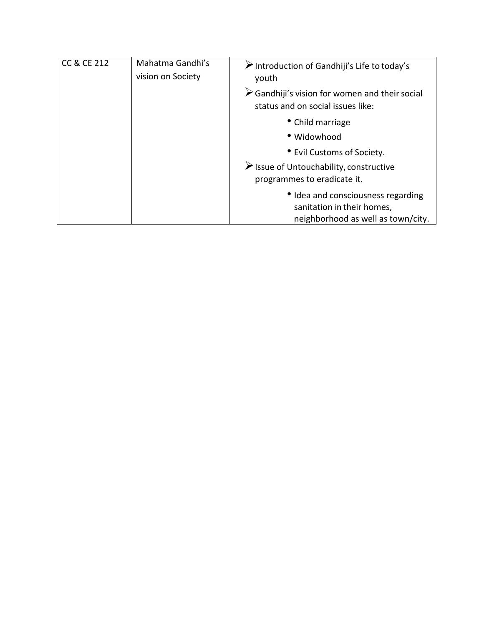| <b>CC &amp; CE 212</b> | Mahatma Gandhi's<br>vision on Society                                                 | $\triangleright$ Introduction of Gandhiji's Life to today's<br>youth                                   |
|------------------------|---------------------------------------------------------------------------------------|--------------------------------------------------------------------------------------------------------|
|                        |                                                                                       | $\triangleright$ Gandhiji's vision for women and their social<br>status and on social issues like:     |
|                        |                                                                                       | • Child marriage                                                                                       |
|                        |                                                                                       | • Widowhood                                                                                            |
|                        |                                                                                       | • Evil Customs of Society.                                                                             |
|                        | $\triangleright$ Issue of Untouchability, constructive<br>programmes to eradicate it. |                                                                                                        |
|                        |                                                                                       | • Idea and consciousness regarding<br>sanitation in their homes,<br>neighborhood as well as town/city. |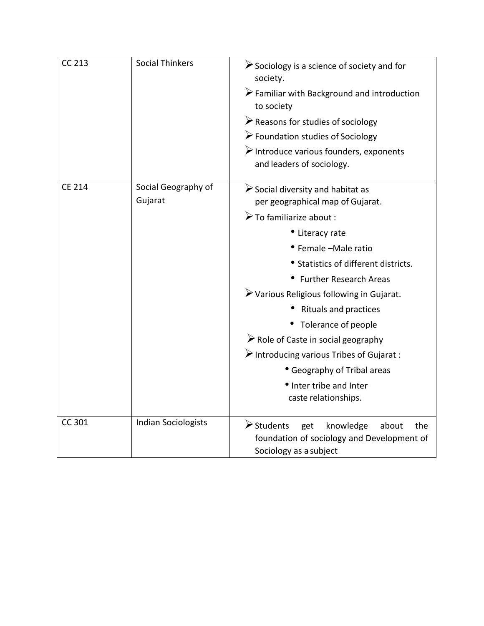| <b>CC 213</b> | <b>Social Thinkers</b>         | $\triangleright$ Sociology is a science of society and for<br>society.<br>Familiar with Background and introduction<br>to society<br>$\triangleright$ Reasons for studies of sociology<br>$\triangleright$ Foundation studies of Sociology<br>Introduce various founders, exponents<br>and leaders of sociology.                                                                                                                                                                                                                                         |
|---------------|--------------------------------|----------------------------------------------------------------------------------------------------------------------------------------------------------------------------------------------------------------------------------------------------------------------------------------------------------------------------------------------------------------------------------------------------------------------------------------------------------------------------------------------------------------------------------------------------------|
| <b>CE 214</b> | Social Geography of<br>Gujarat | $\triangleright$ Social diversity and habitat as<br>per geographical map of Gujarat.<br>$\triangleright$ To familiarize about :<br>• Literacy rate<br>• Female -Male ratio<br>• Statistics of different districts.<br>• Further Research Areas<br>> Various Religious following in Gujarat.<br><b>Rituals and practices</b><br>• Tolerance of people<br>$\triangleright$ Role of Caste in social geography<br>$\triangleright$ Introducing various Tribes of Gujarat :<br>• Geography of Tribal areas<br>• Inter tribe and Inter<br>caste relationships. |
| CC 301        | <b>Indian Sociologists</b>     | $\triangleright$ Students<br>get<br>knowledge<br>about<br>the<br>foundation of sociology and Development of<br>Sociology as a subject                                                                                                                                                                                                                                                                                                                                                                                                                    |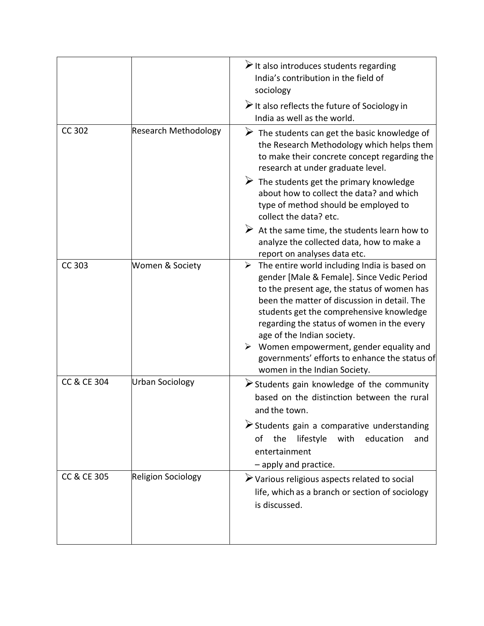|                        |                             | $\triangleright$ It also introduces students regarding<br>India's contribution in the field of<br>sociology<br>$\triangleright$ It also reflects the future of Sociology in<br>India as well as the world.                                                                                                                                                                                                                                                                     |
|------------------------|-----------------------------|--------------------------------------------------------------------------------------------------------------------------------------------------------------------------------------------------------------------------------------------------------------------------------------------------------------------------------------------------------------------------------------------------------------------------------------------------------------------------------|
| CC 302                 | <b>Research Methodology</b> | $\triangleright$ The students can get the basic knowledge of<br>the Research Methodology which helps them<br>to make their concrete concept regarding the<br>research at under graduate level.<br>$\triangleright$ The students get the primary knowledge<br>about how to collect the data? and which<br>type of method should be employed to<br>collect the data? etc.<br>$\triangleright$ At the same time, the students learn how to                                        |
|                        |                             | analyze the collected data, how to make a<br>report on analyses data etc.                                                                                                                                                                                                                                                                                                                                                                                                      |
| <b>CC 303</b>          | Women & Society             | $\triangleright$ The entire world including India is based on<br>gender [Male & Female]. Since Vedic Period<br>to the present age, the status of women has<br>been the matter of discussion in detail. The<br>students get the comprehensive knowledge<br>regarding the status of women in the every<br>age of the Indian society.<br>$\triangleright$ Women empowerment, gender equality and<br>governments' efforts to enhance the status of<br>women in the Indian Society. |
| <b>CC &amp; CE 304</b> | Urban Sociology             | $\triangleright$ Students gain knowledge of the community<br>based on the distinction between the rural<br>and the town.                                                                                                                                                                                                                                                                                                                                                       |
|                        |                             | Students gain a comparative understanding<br>lifestyle with<br>education<br>the<br>οf<br>and<br>entertainment<br>- apply and practice.                                                                                                                                                                                                                                                                                                                                         |
| CC & CE 305            | <b>Religion Sociology</b>   | > Various religious aspects related to social<br>life, which as a branch or section of sociology<br>is discussed.                                                                                                                                                                                                                                                                                                                                                              |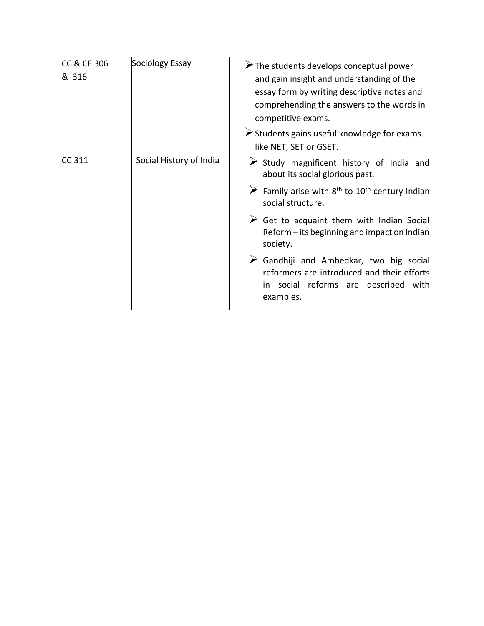| <b>CC &amp; CE 306</b><br>& 316 | Sociology Essay         | $\triangleright$ The students develops conceptual power<br>and gain insight and understanding of the<br>essay form by writing descriptive notes and<br>comprehending the answers to the words in<br>competitive exams.<br>Students gains useful knowledge for exams |
|---------------------------------|-------------------------|---------------------------------------------------------------------------------------------------------------------------------------------------------------------------------------------------------------------------------------------------------------------|
|                                 |                         | like NET, SET or GSET.                                                                                                                                                                                                                                              |
| CC 311                          | Social History of India | $\triangleright$ Study magnificent history of India and<br>about its social glorious past.                                                                                                                                                                          |
|                                 |                         | $\triangleright$ Family arise with 8 <sup>th</sup> to 10 <sup>th</sup> century Indian<br>social structure.                                                                                                                                                          |
|                                 |                         | $\triangleright$ Get to acquaint them with Indian Social<br>Reform - its beginning and impact on Indian<br>society.                                                                                                                                                 |
|                                 |                         | $\triangleright$ Gandhiji and Ambedkar, two big social<br>reformers are introduced and their efforts<br>in social reforms are described with<br>examples.                                                                                                           |